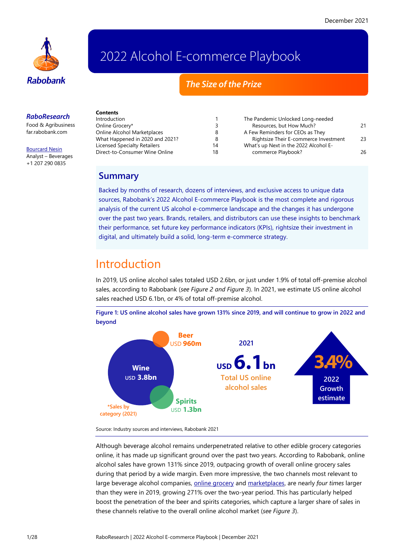

# 2022 Alcohol E-commerce Playbook

## *The Size of the Prize*

#### *RaboResearch*

Food & Agribusiness [far.rabobank.com](http://far.rabobank.com/)

[Bourcard Nesin](mailto:bourcard.nesin@rabobank.com) Analyst – Beverages +1 207 290 0835

| Contents                        |    |                                       |    |
|---------------------------------|----|---------------------------------------|----|
| Introduction                    |    | The Pandemic Unlocked Long-needed     |    |
| Online Grocery*                 |    | Resources, but How Much?              | 21 |
| Online Alcohol Marketplaces     | 8  | A Few Reminders for CEOs as They      |    |
| What Happened in 2020 and 2021? |    | Rightsize Their E-commerce Investment | 23 |
| Licensed Specialty Retailers    | 14 | What's up Next in the 2022 Alcohol E- |    |
| Direct-to-Consumer Wine Online  | 18 | commerce Playbook?                    | 26 |

## **Summary**

Backed by months of research, dozens of interviews, and exclusive access to unique data sources, Rabobank's 2022 Alcohol E-commerce Playbook is the most complete and rigorous analysis of the current US alcohol e-commerce landscape and the changes it has undergone over the past two years. Brands, retailers, and distributors can use these insights to benchmark their performance, set future key performance indicators (KPIs), rightsize their investment in digital, and ultimately build a solid, long-term e-commerce strategy.

# <span id="page-0-0"></span>Introduction

In 2019, US online alcohol sales totaled USD 2.6bn, or just under 1.9% of total off-premise alcohol sales, according to Rabobank (*see Figure 2 and Figure 3*). In 2021, we estimate US online alcohol sales reached USD 6.1bn, or 4% of total off-premise alcohol.

**Figure 1: US online alcohol sales have grown 131% since 2019, and will continue to grow in 2022 and beyond**



Source: Industry sources and interviews, Rabobank 2021

Although beverage alcohol remains underpenetrated relative to other edible grocery categories online, it has made up significant ground over the past two years. According to Rabobank, online alcohol sales have grown 131% since 2019, outpacing growth of overall online grocery sales during that period by a wide margin. Even more impressive, the two channels most relevant to large beverage alcohol companies, [online grocery](#page-2-0) an[d marketplaces,](#page-7-0) are nearly *four times* larger than they were in 2019, growing 271% over the two-year period. This has particularly helped boost the penetration of the beer and spirits categories, which capture a larger share of sales in these channels relative to the overall online alcohol market (*see Figure 3*).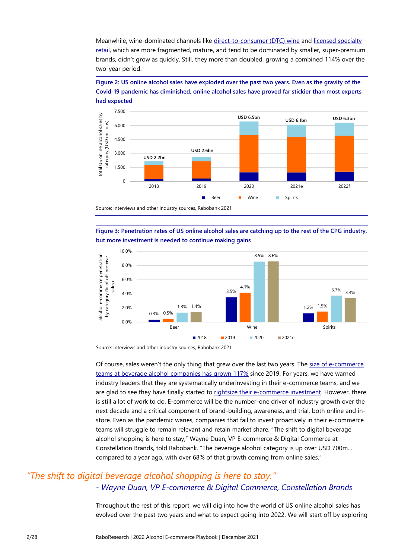Meanwhile, wine-dominated channels like [direct-to-consumer \(DTC\)](#page-17-0) wine and [licensed specialty](#page-13-0)  [retail,](#page-13-0) which are more fragmented, mature, and tend to be dominated by smaller, super-premium brands, didn't grow as quickly. Still, they more than doubled, growing a combined 114% over the two-year period.

**Figure 2: US online alcohol sales have exploded over the past two years. Even as the gravity of the Covid-19 pandemic has diminished, online alcohol sales have proved far stickier than most experts had expected**



**Figure 3: Penetration rates of US online alcohol sales are catching up to the rest of the CPG industry, but more investment is needed to continue making gains**



Of course, sales weren't the only thing that grew over the last two years. The size of e-commerce [teams at beverage alcohol companies has](#page-20-0) grown 117% since 2019. For years, we have warned industry leaders that they are systematically underinvesting in their e-commerce teams, and we are glad to see they have finally started t[o rightsize their e-commerce investment.](#page-22-0) However, there is still a lot of work to do. E-commerce will be the number-one driver of industry growth over the next decade and a critical component of brand-building, awareness, and trial, both online and instore. Even as the pandemic wanes, companies that fail to invest proactively in their e-commerce teams will struggle to remain relevant and retain market share. "The shift to digital beverage alcohol shopping is here to stay," Wayne Duan, VP E-commerce & Digital Commerce at Constellation Brands, told Rabobank. "The beverage alcohol category is up over USD 700m… compared to a year ago, with over 68% of that growth coming from online sales."

## *"The shift to digital beverage alcohol shopping is here to stay." - Wayne Duan, VP E-commerce & Digital Commerce, Constellation Brands*

Throughout the rest of this report, we will dig into how the world of US online alcohol sales has evolved over the past two years and what to expect going into 2022. We will start off by exploring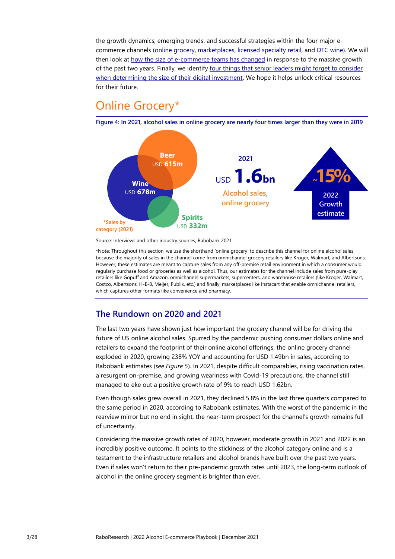the growth dynamics, emerging trends, and successful strategies within the four major ecommerce channels (online grocery, [marketplaces,](#page-7-0) [licensed specialty retail,](#page-13-0) and [DTC wine\)](#page-17-0). We will then look at [how the size of e-commerce teams has](#page-20-0) changed in response to the massive growth of the past two years. Finally, we identify four things that senior leaders might forget to consider [when determining the size of their digital investment.](#page-22-0) We hope it helps unlock critical resources for their future.

# <span id="page-2-0"></span>Online Grocery\*

**Figure 4: In 2021, alcohol sales in online grocery are nearly four times larger than they were in 2019** 



Source: Interviews and other industry sources, Rabobank 2021

\*Note: Throughout this section, we use the shorthand 'online grocery' to describe this channel for online alcohol sales because the majority of sales in the channel come from omnichannel grocery retailers like Kroger, Walmart, and Albertsons. However, these estimates are meant to capture sales from any off-premise retail environment in which a consumer would regularly purchase food or groceries as well as alcohol. Thus, our estimates for the channel include sales from pure-play retailers like Gopuff and Amazon, omnichannel supermarkets, supercenters, and warehouse retailers (like Kroger, Walmart, Costco, Albertsons, H-E-B, Meijer, Publix, etc.) and finally, marketplaces like Instacart that enable omnichannel retailers, which captures other formats like convenience and pharmacy.

## **The Rundown on 2020 and 2021**

The last two years have shown just how important the grocery channel will be for driving the future of US online alcohol sales. Spurred by the pandemic pushing consumer dollars online and retailers to expand the footprint of their online alcohol offerings, the online grocery channel exploded in 2020, growing 238% YOY and accounting for USD 1.49bn in sales, according to Rabobank estimates (*see Figure 5*). In 2021, despite difficult comparables, rising vaccination rates, a resurgent on-premise, and growing weariness with Covid-19 precautions, the channel still managed to eke out a positive growth rate of 9% to reach USD 1.62bn.

Even though sales grew overall in 2021, they declined 5.8% in the last three quarters compared to the same period in 2020, according to Rabobank estimates. With the worst of the pandemic in the rearview mirror but no end in sight, the near-term prospect for the channel's growth remains full of uncertainty.

Considering the massive growth rates of 2020, however, moderate growth in 2021 and 2022 is an incredibly positive outcome. It points to the stickiness of the alcohol category online and is a testament to the infrastructure retailers and alcohol brands have built over the past two years. Even if sales won't return to their pre-pandemic growth rates until 2023, the long-term outlook of alcohol in the online grocery segment is brighter than ever.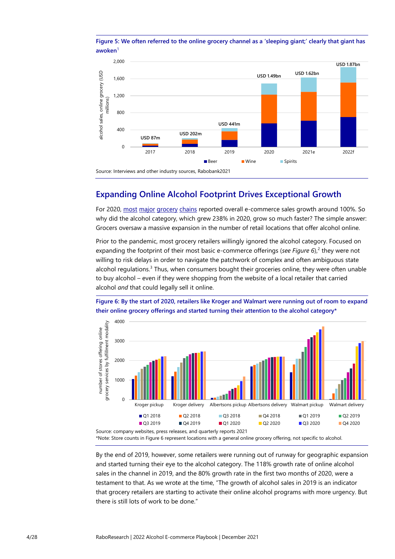



## **Expanding Online Alcohol Footprint Drives Exceptional Growth**

For 2020, [most](https://media.aholddelhaize.com/media/45ta1vbg/analyst-presentation_q4fy_2020_final.pdf?t=637587518928070000) [major](https://ir.kroger.com/CorporateProfile/press-releases/press-release/2021/Kroger-Delivers-Strong-Fourth-Quarter-and-Fiscal-Year-2020-Results/) [grocery](https://s2.q4cdn.com/056532643/files/doc_financials/2021/q4/Q4FY21-Earnings-Release_Final.pdf) [chains](https://investor.costco.com/news-releases/news-release-details/costco-wholesale-corporation-reports-first-quarter-fiscal-11) reported overall e-commerce sales growth around 100%. So why did the alcohol category, which grew 238% in 2020, grow so much faster? The simple answer: Grocers oversaw a massive expansion in the number of retail locations that offer alcohol online.

Prior to the pandemic, most grocery retailers willingly ignored the alcohol category. Focused on expanding the footprint of their most basic e-commerce offerings (see Figure 6),<sup>2</sup> they were not willing to risk delays in order to navigate the patchwork of complex and often ambiguous state alcohol regulations.<sup>3</sup> Thus, when consumers bought their groceries online, they were often unable to buy alcohol – even if they were shopping from the website of a local retailer that carried alcohol *and* that could legally sell it online.



**Figure 6: By the start of 2020, retailers like Kroger and Walmart were running out of room to expand their online grocery offerings and started turning their attention to the alcohol category\***

\*Note: Store counts in Figure 6 represent locations with a general online grocery offering, not specific to alcohol.

By the end of 2019, however, some retailers were running out of runway for geographic expansion and started turning their eye to the alcohol category. The 118% growth rate of online alcohol sales in the channel in 2019, and the 80% growth rate in the first two months of 2020, were a testament to that. As we wrote at the time, "The growth of alcohol sales in 2019 is an indicator that grocery retailers are starting to activate their online alcohol programs with more urgency. But there is still lots of work to be done."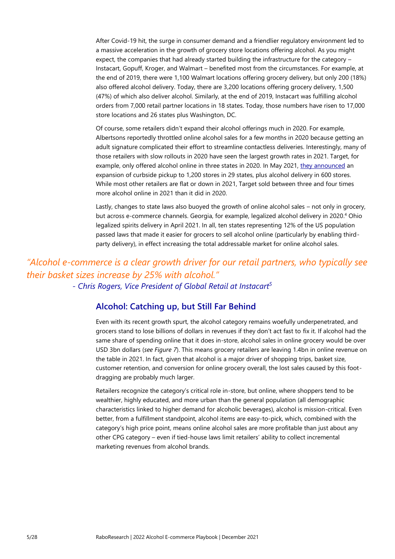After Covid-19 hit, the surge in consumer demand and a friendlier regulatory environment led to a massive acceleration in the growth of grocery store locations offering alcohol. As you might expect, the companies that had already started building the infrastructure for the category – Instacart, Gopuff, Kroger, and Walmart – benefited most from the circumstances. For example, at the end of 2019, there were 1,100 Walmart locations offering grocery delivery, but only 200 (18%) also offered alcohol delivery. Today, there are 3,200 locations offering grocery delivery, 1,500 (47%) of which also deliver alcohol. Similarly, at the end of 2019, Instacart was fulfilling alcohol orders from 7,000 retail partner locations in 18 states. Today, those numbers have risen to 17,000 store locations and 26 states plus Washington, DC.

Of course, some retailers didn't expand their alcohol offerings much in 2020. For example, Albertsons reportedly throttled online alcohol sales for a few months in 2020 because getting an adult signature complicated their effort to streamline contactless deliveries. Interestingly, many of those retailers with slow rollouts in 2020 have seen the largest growth rates in 2021. Target, for example, only offered alcohol online in three states in 2020. In May 2021[, they announced](https://rabowebam-my.sharepoint.com/personal/bourcard_nesin_rabobank_com/Documents/a1%20Research/Ecommerce%202021%20report/draft/FAMM%20version/•%09https:/corporate.target.com/article/2021/05/adult-bev-expansion) an expansion of curbside pickup to 1,200 stores in 29 states, plus alcohol delivery in 600 stores. While most other retailers are flat or down in 2021, Target sold between three and four times more alcohol online in 2021 than it did in 2020.

Lastly, changes to state laws also buoyed the growth of online alcohol sales – not only in grocery, but across e-commerce channels. Georgia, for example, legalized alcohol delivery in 2020. <sup>4</sup> Ohio legalized spirits delivery in April 2021. In all, ten states representing 12% of the US population passed laws that made it easier for grocers to sell alcohol online (particularly by enabling thirdparty delivery), in effect increasing the total addressable market for online alcohol sales.

## *"Alcohol e-commerce is a clear growth driver for our retail partners, who typically see their basket sizes increase by 25% with alcohol." - Chris Rogers, Vice President of Global Retail at Instacart<sup>5</sup>*

### **Alcohol: Catching up, but Still Far Behind**

Even with its recent growth spurt, the alcohol category remains woefully underpenetrated, and grocers stand to lose billions of dollars in revenues if they don't act fast to fix it. If alcohol had the same share of spending online that it does in-store, alcohol sales in online grocery would be over USD 3bn dollars (*see Figure 7*). This means grocery retailers are leaving 1.4bn in online revenue on the table in 2021. In fact, given that alcohol is a major driver of shopping trips, basket size, customer retention, and conversion for online grocery overall, the lost sales caused by this footdragging are probably much larger.

Retailers recognize the category's critical role in-store, but online, where shoppers tend to be wealthier, highly educated, and more urban than the general population (all demographic characteristics linked to higher demand for alcoholic beverages), alcohol is mission-critical. Even better, from a fulfillment standpoint, alcohol items are easy-to-pick, which, combined with the category's high price point, means online alcohol sales are more profitable than just about any other CPG category – even if tied-house laws limit retailers' ability to collect incremental marketing revenues from alcohol brands.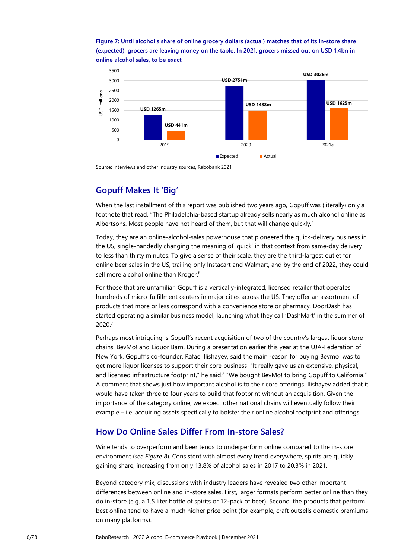**Figure 7: Until alcohol's share of online grocery dollars (actual) matches that of its in-store share (expected), grocers are leaving money on the table. In 2021, grocers missed out on USD 1.4bn in online alcohol sales, to be exact**



### **Gopuff Makes It 'Big'**

When the last installment of this report was published two years ago, Gopuff was (literally) only a footnote that read, "The Philadelphia-based startup already sells nearly as much alcohol online as Albertsons. Most people have not heard of them, but that will change quickly."

Today, they are an online-alcohol-sales powerhouse that pioneered the quick-delivery business in the US, single-handedly changing the meaning of 'quick' in that context from same-day delivery to less than thirty minutes. To give a sense of their scale, they are the third-largest outlet for online beer sales in the US, trailing only Instacart and Walmart, and by the end of 2022, they could sell more alcohol online than Kroger.<sup>6</sup>

For those that are unfamiliar, Gopuff is a vertically-integrated, licensed retailer that operates hundreds of micro-fulfillment centers in major cities across the US. They offer an assortment of products that more or less correspond with a convenience store or pharmacy. DoorDash has started operating a similar business model, launching what they call 'DashMart' in the summer of 2020.<sup>7</sup>

Perhaps most intriguing is Gopuff's recent acquisition of two of the country's largest liquor store chains, BevMo! and Liquor Barn. During a presentation earlier this year at the UJA-Federation of New York, Gopuff's co-founder, Rafael Ilishayev, said the main reason for buying Bevmo! was to get more liquor licenses to support their core business. "It really gave us an extensive, physical, and licensed infrastructure footprint," he said.<sup>8</sup> "We bought BevMo! to bring Gopuff to California." A comment that shows just how important alcohol is to their core offerings. Ilishayev added that it would have taken three to four years to build that footprint without an acquisition. Given the importance of the category online, we expect other national chains will eventually follow their example – i.e. acquiring assets specifically to bolster their online alcohol footprint and offerings.

## **How Do Online Sales Differ From In-store Sales?**

Wine tends to overperform and beer tends to underperform online compared to the in-store environment (*see Figure 8*). Consistent with almost every trend everywhere, spirits are quickly gaining share, increasing from only 13.8% of alcohol sales in 2017 to 20.3% in 2021.

Beyond category mix, discussions with industry leaders have revealed two other important differences between online and in-store sales. First, larger formats perform better online than they do in-store (e.g. a 1.5 liter bottle of spirits or 12-pack of beer). Second, the products that perform best online tend to have a much higher price point (for example, craft outsells domestic premiums on many platforms).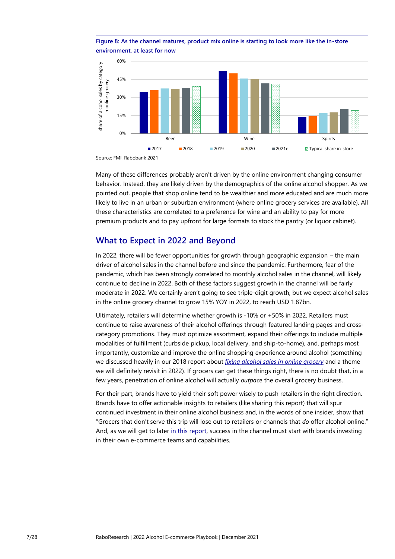



Many of these differences probably aren't driven by the online environment changing consumer behavior. Instead, they are likely driven by the demographics of the online alcohol shopper. As we pointed out, people that shop online tend to be wealthier and more educated and are much more likely to live in an urban or suburban environment (where online grocery services are available). All these characteristics are correlated to a preference for wine and an ability to pay for more premium products and to pay upfront for large formats to stock the pantry (or liquor cabinet).

### **What to Expect in 2022 and Beyond**

In 2022, there will be fewer opportunities for growth through geographic expansion – the main driver of alcohol sales in the channel before and since the pandemic. Furthermore, fear of the pandemic, which has been strongly correlated to monthly alcohol sales in the channel, will likely continue to decline in 2022. Both of these factors suggest growth in the channel will be fairly moderate in 2022. We certainly aren't going to see triple-digit growth, but we expect alcohol sales in the online grocery channel to grow 15% YOY in 2022, to reach USD 1.87bn.

Ultimately, retailers will determine whether growth is -10% or +50% in 2022. Retailers must continue to raise awareness of their alcohol offerings through featured landing pages and crosscategory promotions. They must optimize assortment, expand their offerings to include multiple modalities of fulfillment (curbside pickup, local delivery, and ship-to-home), and, perhaps most importantly, customize and improve the online shopping experience around alcohol (something we discussed heavily in our 2018 report about *[fixing alcohol sales in online grocery](https://research.rabobank.com/far/en/sectors/beverages/Supermarkets-Poised-to-Lose-Alcohol-Sales.html)* and a theme we will definitely revisit in 2022). If grocers can get these things right, there is no doubt that, in a few years, penetration of online alcohol will actually *outpace* the overall grocery business.

For their part, brands have to yield their soft power wisely to push retailers in the right direction. Brands have to offer actionable insights to retailers (like sharing this report) that will spur continued investment in their online alcohol business and, in the words of one insider, show that "Grocers that don't serve this trip will lose out to retailers or channels that *do* offer alcohol online." And, as we will get to late[r in this report,](#page-21-0) success in the channel must start with brands investing in their own e-commerce teams and capabilities.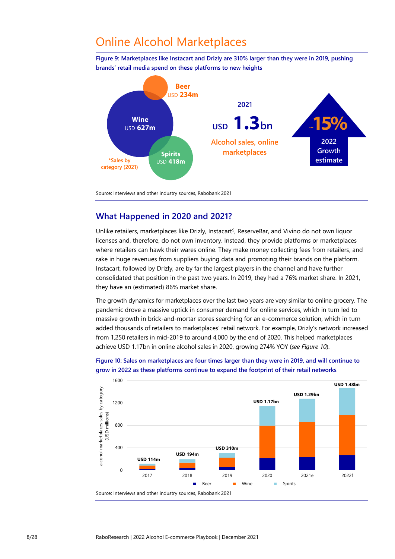# <span id="page-7-0"></span>Online Alcohol Marketplaces

**Figure 9: Marketplaces like Instacart and Drizly are 310% larger than they were in 2019, pushing brands' retail media spend on these platforms to new heights**



<span id="page-7-1"></span>Source: Interviews and other industry sources, Rabobank 2021

### **What Happened in 2020 and 2021?**

Unlike retailers, marketplaces like Drizly, Instacart<sup>9</sup>, ReserveBar, and Vivino do not own liquor licenses and, therefore, do not own inventory. Instead, they provide platforms or marketplaces where retailers can hawk their wares online. They make money collecting fees from retailers, and rake in huge revenues from suppliers buying data and promoting their brands on the platform. Instacart, followed by Drizly, are by far the largest players in the channel and have further consolidated that position in the past two years. In 2019, they had a 76% market share. In 2021, they have an (estimated) 86% market share.

The growth dynamics for marketplaces over the last two years are very similar to online grocery. The pandemic drove a massive uptick in consumer demand for online services, which in turn led to massive growth in brick-and-mortar stores searching for an e-commerce solution, which in turn added thousands of retailers to marketplaces' retail network. For example, Drizly's network increased from 1,250 retailers in mid-2019 to around 4,000 by the end of 2020. This helped marketplaces achieve USD 1.17bn in online alcohol sales in 2020, growing 274% YOY (*see Figure 10*).



**Figure 10: Sales on marketplaces are four times larger than they were in 2019, and will continue to grow in 2022 as these platforms continue to expand the footprint of their retail networks**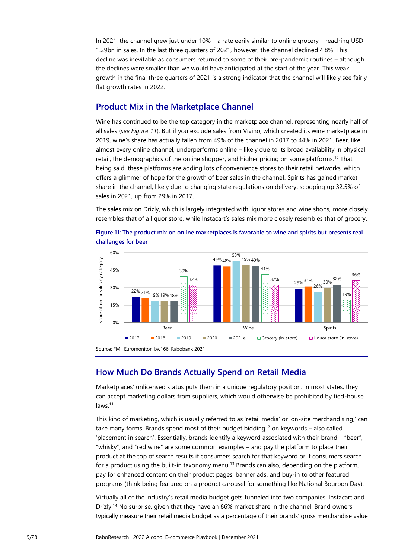In 2021, the channel grew just under 10% – a rate eerily similar to online grocery – reaching USD 1.29bn in sales. In the last three quarters of 2021, however, the channel declined 4.8%. This decline was inevitable as consumers returned to some of their pre-pandemic routines – although the declines were smaller than we would have anticipated at the start of the year. This weak growth in the final three quarters of 2021 is a strong indicator that the channel will likely see fairly flat growth rates in 2022.

### **Product Mix in the Marketplace Channel**

Wine has continued to be the top category in the marketplace channel, representing nearly half of all sales (*see Figure 11*). But if you exclude sales from Vivino, which created its wine marketplace in 2019, wine's share has actually fallen from 49% of the channel in 2017 to 44% in 2021. Beer, like almost every online channel, underperforms online – likely due to its broad availability in physical retail, the demographics of the online shopper, and higher pricing on some platforms.<sup>10</sup> That being said, these platforms are adding lots of convenience stores to their retail networks, which offers a glimmer of hope for the growth of beer sales in the channel. Spirits has gained market share in the channel, likely due to changing state regulations on delivery, scooping up 32.5% of sales in 2021, up from 29% in 2017.

The sales mix on Drizly, which is largely integrated with liquor stores and wine shops, more closely resembles that of a liquor store, while Instacart's sales mix more closely resembles that of grocery.

**Figure 11: The product mix on online marketplaces is favorable to wine and spirits but presents real challenges for beer**



<span id="page-8-0"></span>Source: FMI, Euromonitor, bw166, Rabobank 2021

## **How Much Do Brands Actually Spend on Retail Media**

Marketplaces' unlicensed status puts them in a unique regulatory position. In most states, they can accept marketing dollars from suppliers, which would otherwise be prohibited by tied-house laws.<sup>11</sup>

This kind of marketing, which is usually referred to as 'retail media' or 'on-site merchandising,' can take many forms. Brands spend most of their budget bidding<sup>12</sup> on keywords – also called 'placement in search'. Essentially, brands identify a keyword associated with their brand – "beer", "whisky", and "red wine" are some common examples – and pay the platform to place their product at the top of search results if consumers search for that keyword or if consumers search for a product using the built-in taxonomy menu.<sup>13</sup> Brands can also, depending on the platform, pay for enhanced content on their product pages, banner ads, and buy-in to other featured programs (think being featured on a product carousel for something like National Bourbon Day).

Virtually all of the industry's retail media budget gets funneled into two companies: Instacart and Drizly.<sup>14</sup> No surprise, given that they have an 86% market share in the channel. Brand owners typically measure their retail media budget as a percentage of their brands' gross merchandise value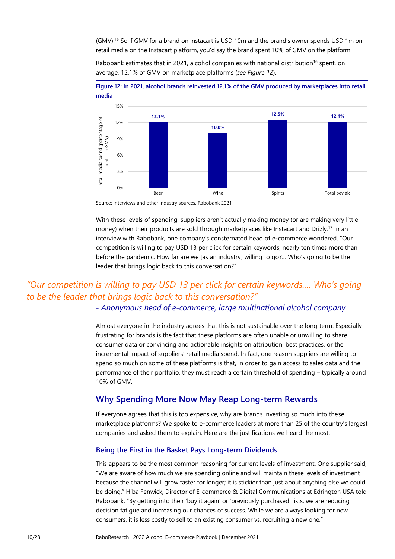(GMV). <sup>15</sup> So if GMV for a brand on Instacart is USD 10m and the brand's owner spends USD 1m on retail media on the Instacart platform, you'd say the brand spent 10% of GMV on the platform.

Rabobank estimates that in 2021, alcohol companies with national distribution<sup>16</sup> spent, on average, 12.1% of GMV on marketplace platforms (*see Figure 12*).



**Figure 12: In 2021, alcohol brands reinvested 12.1% of the GMV produced by marketplaces into retail media**

Source: Interviews and other industry sources, Rabobank 2021

With these levels of spending, suppliers aren't actually making money (or are making very little money) when their products are sold through marketplaces like Instacart and Drizly.<sup>17</sup> In an interview with Rabobank, one company's consternated head of e-commerce wondered, "Our competition is willing to pay USD 13 per click for certain keywords, nearly ten times more than before the pandemic. How far are we [as an industry] willing to go?... Who's going to be the leader that brings logic back to this conversation?"

# *"Our competition is willing to pay USD 13 per click for certain keywords.… Who's going to be the leader that brings logic back to this conversation?"*

*- Anonymous head of e-commerce, large multinational alcohol company*

Almost everyone in the industry agrees that this is not sustainable over the long term. Especially frustrating for brands is the fact that these platforms are often unable or unwilling to share consumer data or convincing and actionable insights on attribution, best practices, or the incremental impact of suppliers' retail media spend. In fact, one reason suppliers are willing to spend so much on some of these platforms is that, in order to gain access to sales data and the performance of their portfolio, they must reach a certain threshold of spending – typically around 10% of GMV

### **Why Spending More Now May Reap Long-term Rewards**

If everyone agrees that this is too expensive, why are brands investing so much into these marketplace platforms? We spoke to e-commerce leaders at more than 25 of the country's largest companies and asked them to explain. Here are the justifications we heard the most:

#### **Being the First in the Basket Pays Long-term Dividends**

This appears to be the most common reasoning for current levels of investment. One supplier said, "We are aware of how much we are spending online and will maintain these levels of investment because the channel will grow faster for longer; it is stickier than just about anything else we could be doing." Hiba Fenwick, Director of E-commerce & Digital Communications at Edrington USA told Rabobank, "By getting into their 'buy it again' or 'previously purchased' lists, we are reducing decision fatigue and increasing our chances of success. While we are always looking for new consumers, it is less costly to sell to an existing consumer vs. recruiting a new one."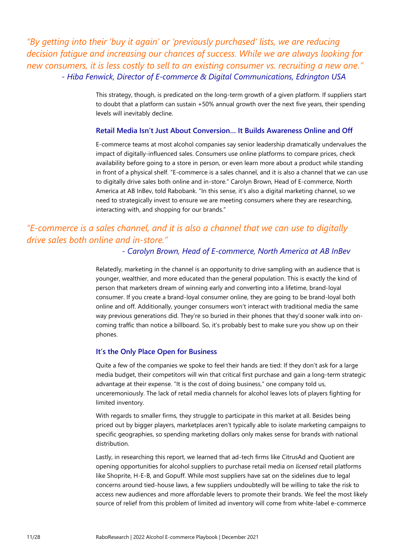*"By getting into their 'buy it again' or 'previously purchased' lists, we are reducing decision fatigue and increasing our chances of success. While we are always looking for new consumers, it is less costly to sell to an existing consumer vs. recruiting a new one." - Hiba Fenwick, Director of E-commerce & Digital Communications, Edrington USA*

> This strategy, though, is predicated on the long-term growth of a given platform. If suppliers start to doubt that a platform can sustain +50% annual growth over the next five years, their spending levels will inevitably decline.

#### <span id="page-10-0"></span>**Retail Media Isn't Just About Conversion… It Builds Awareness Online and Off**

E-commerce teams at most alcohol companies say senior leadership dramatically undervalues the impact of digitally-influenced sales. Consumers use online platforms to compare prices, check availability before going to a store in person, or even learn more about a product while standing in front of a physical shelf. "E-commerce is a sales channel, and it is also a channel that we can use to digitally drive sales both online and in-store." Carolyn Brown, Head of E-commerce, North America at AB InBev, told Rabobank. "In this sense, it's also a digital marketing channel, so we need to strategically invest to ensure we are meeting consumers where they are researching, interacting with, and shopping for our brands."

## *"E-commerce is a sales channel, and it is also a channel that we can use to digitally drive sales both online and in-store."*

*- Carolyn Brown, Head of E-commerce, North America at AB InBev*

Relatedly, marketing in the channel is an opportunity to drive sampling with an audience that is younger, wealthier, and more educated than the general population. This is exactly the kind of person that marketers dream of winning early and converting into a lifetime, brand-loyal consumer. If you create a brand-loyal consumer online, they are going to be brand-loyal both online and off. Additionally, younger consumers won't interact with traditional media the same way previous generations did. They're so buried in their phones that they'd sooner walk into oncoming traffic than notice a billboard. So, it's probably best to make sure you show up on their phones.

#### **It's the Only Place Open for Business**

Quite a few of the companies we spoke to feel their hands are tied: If they don't ask for a large media budget, their competitors will win that critical first purchase and gain a long-term strategic advantage at their expense. "It is the cost of doing business," one company told us, unceremoniously. The lack of retail media channels for alcohol leaves lots of players fighting for limited inventory.

With regards to smaller firms, they struggle to participate in this market at all. Besides being priced out by bigger players, marketplaces aren't typically able to isolate marketing campaigns to specific geographies, so spending marketing dollars only makes sense for brands with national distribution.

Lastly, in researching this report, we learned that ad-tech firms like CitrusAd and Quotient are opening opportunities for alcohol suppliers to purchase retail media on *licensed* retail platforms like Shoprite, H-E-B, and Gopuff. While most suppliers have sat on the sidelines due to legal concerns around tied-house laws, a few suppliers undoubtedly will be willing to take the risk to access new audiences and more affordable levers to promote their brands. We feel the most likely source of relief from this problem of limited ad inventory will come from white-label e-commerce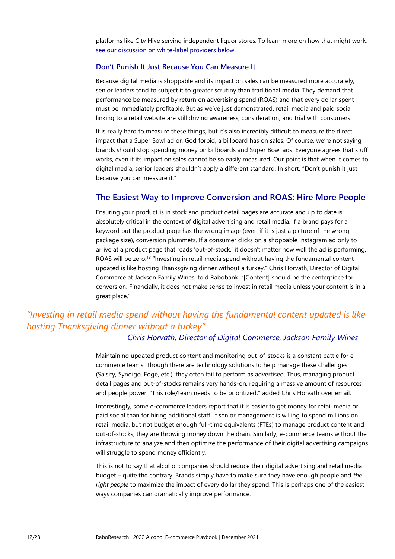platforms like City Hive serving independent liquor stores. To learn more on how that might work, [see our discussion on white-label providers below.](#page-15-0) 

#### **Don't Punish It Just Because You Can Measure It**

Because digital media is shoppable and its impact on sales can be measured more accurately, senior leaders tend to subject it to greater scrutiny than traditional media. They demand that performance be measured by return on advertising spend (ROAS) and that every dollar spent must be immediately profitable. But as we've just demonstrated, retail media and paid social linking to a retail website are still driving awareness, consideration, and trial with consumers.

It is really hard to measure these things, but it's also incredibly difficult to measure the direct impact that a Super Bowl ad or, God forbid, a billboard has on sales. Of course, we're not saying brands should stop spending money on billboards and Super Bowl ads. Everyone agrees that stuff works, even if its impact on sales cannot be so easily measured. Our point is that when it comes to digital media, senior leaders shouldn't apply a different standard. In short, "Don't punish it just because you can measure it."

### **The Easiest Way to Improve Conversion and ROAS: Hire More People**

Ensuring your product is in stock and product detail pages are accurate and up to date is absolutely critical in the context of digital advertising and retail media. If a brand pays for a keyword but the product page has the wrong image (even if it is just a picture of the wrong package size), conversion plummets. If a consumer clicks on a shoppable Instagram ad only to arrive at a product page that reads 'out-of-stock,' it doesn't matter how well the ad is performing, ROAS will be zero.<sup>18</sup> "Investing in retail media spend without having the fundamental content updated is like hosting Thanksgiving dinner without a turkey," Chris Horvath, Director of Digital Commerce at Jackson Family Wines, told Rabobank. "[Content] should be the centerpiece for conversion. Financially, it does not make sense to invest in retail media unless your content is in a great place."

# *"Investing in retail media spend without having the fundamental content updated is like hosting Thanksgiving dinner without a turkey"*

### *- Chris Horvath, Director of Digital Commerce, Jackson Family Wines*

Maintaining updated product content and monitoring out-of-stocks is a constant battle for ecommerce teams. Though there are technology solutions to help manage these challenges (Salsify, Syndigo, Edge, etc.), they often fail to perform as advertised. Thus, managing product detail pages and out-of-stocks remains very hands-on, requiring a massive amount of resources and people power. "This role/team needs to be prioritized," added Chris Horvath over email.

Interestingly, some e-commerce leaders report that it is easier to get money for retail media or paid social than for hiring additional staff. If senior management is willing to spend millions on retail media, but not budget enough full-time equivalents (FTEs) to manage product content and out-of-stocks, they are throwing money down the drain. Similarly, e-commerce teams without the infrastructure to analyze and then optimize the performance of their digital advertising campaigns will struggle to spend money efficiently.

This is not to say that alcohol companies should reduce their digital advertising and retail media budget – quite the contrary. Brands simply have to make sure they have enough people and *the right people* to maximize the impact of every dollar they spend. This is perhaps one of the easiest ways companies can dramatically improve performance.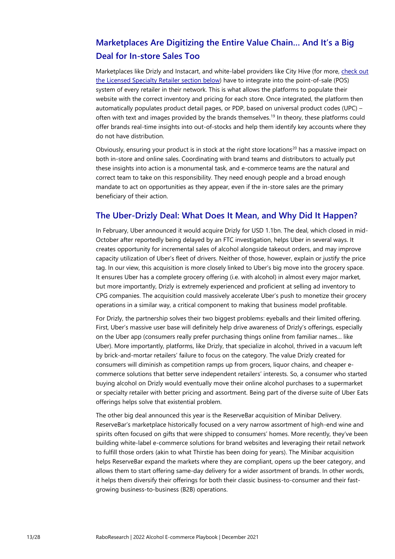# <span id="page-12-0"></span>**Marketplaces Are Digitizing the Entire Value Chain… And It's a Big Deal for In-store Sales Too**

Marketplaces like Drizly and Instacart, and white-label providers like City Hive (for more, [check out](#page-15-0)  the [Licensed Specialty Retailer](#page-15-0) section below) have to integrate into the point-of-sale (POS) system of every retailer in their network. This is what allows the platforms to populate their website with the correct inventory and pricing for each store. Once integrated, the platform then automatically populates product detail pages, or PDP, based on universal product codes (UPC) – often with text and images provided by the brands themselves.<sup>19</sup> In theory, these platforms could offer brands real-time insights into out-of-stocks and help them identify key accounts where they do not have distribution.

Obviously, ensuring your product is in stock at the right store locations<sup>20</sup> has a massive impact on both in-store and online sales. Coordinating with brand teams and distributors to actually put these insights into action is a monumental task, and e-commerce teams are the natural and correct team to take on this responsibility. They need enough people and a broad enough mandate to act on opportunities as they appear, even if the in-store sales are the primary beneficiary of their action.

### **The Uber-Drizly Deal: What Does It Mean, and Why Did It Happen?**

In February, Uber announced it would acquire Drizly for USD 1.1bn. The deal, which closed in mid-October after reportedly being delayed by an FTC investigation, helps Uber in several ways. It creates opportunity for incremental sales of alcohol alongside takeout orders, and may improve capacity utilization of Uber's fleet of drivers. Neither of those, however, explain or justify the price tag. In our view, this acquisition is more closely linked to Uber's big move into the grocery space. It ensures Uber has a complete grocery offering (i.e. with alcohol) in almost every major market, but more importantly, Drizly is extremely experienced and proficient at selling ad inventory to CPG companies. The acquisition could massively accelerate Uber's push to monetize their grocery operations in a similar way, a critical component to making that business model profitable.

For Drizly, the partnership solves their two biggest problems: eyeballs and their limited offering. First, Uber's massive user base will definitely help drive awareness of Drizly's offerings, especially on the Uber app (consumers really prefer purchasing things online from familiar names… like Uber). More importantly, platforms, like Drizly, that specialize in alcohol, thrived in a vacuum left by brick-and-mortar retailers' failure to focus on the category. The value Drizly created for consumers will diminish as competition ramps up from grocers, liquor chains, and cheaper ecommerce solutions that better serve independent retailers' interests. So, a consumer who started buying alcohol on Drizly would eventually move their online alcohol purchases to a supermarket or specialty retailer with better pricing and assortment. Being part of the diverse suite of Uber Eats offerings helps solve that existential problem.

The other big deal announced this year is the ReserveBar acquisition of Minibar Delivery. ReserveBar's marketplace historically focused on a very narrow assortment of high-end wine and spirits often focused on gifts that were shipped to consumers' homes. More recently, they've been building white-label e-commerce solutions for brand websites and leveraging their retail network to fulfill those orders (akin to what Thirstie has been doing for years). The Minibar acquisition helps ReserveBar expand the markets where they are compliant, opens up the beer category, and allows them to start offering same-day delivery for a wider assortment of brands. In other words, it helps them diversify their offerings for both their classic business-to-consumer and their fastgrowing business-to-business (B2B) operations.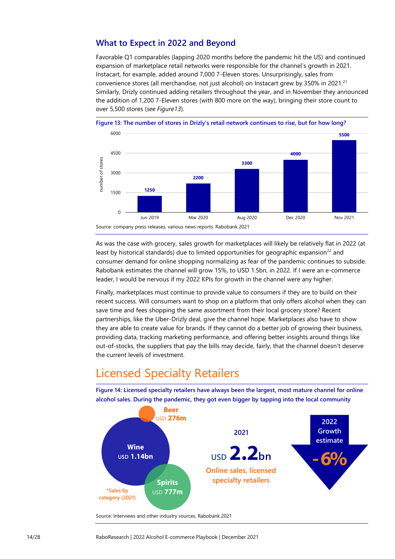## **What to Expect in 2022 and Beyond**

Favorable Q1 comparables (lapping 2020 months before the pandemic hit the US) and continued expansion of marketplace retail networks were responsible for the channel's growth in 2021. Instacart, for example, added around 7,000 7-Eleven stores. Unsurprisingly, sales from convenience stores (all merchandise, not just alcohol) on Instacart grew by 350% in 2021.<sup>21</sup> Similarly, Drizly continued adding retailers throughout the year, and in November they announced the addition of 1,200 7-Eleven stores (with 800 more on the way), bringing their store count to over 5,500 stores (*see Figure13*).



**Figure 13: The number of stores in Drizly's retail network continues to rise, but for how long?**

As was the case with grocery, sales growth for marketplaces will likely be relatively flat in 2022 (at least by historical standards) due to limited opportunities for geographic expansion<sup>22</sup> and consumer demand for online shopping normalizing as fear of the pandemic continues to subside. Rabobank estimates the channel will grow 15%, to USD 1.5bn, in 2022. If I were an e-commerce leader, I would be nervous if my 2022 KPIs for growth in the channel were any higher.

Finally, marketplaces must continue to provide value to consumers if they are to build on their recent success. Will consumers want to shop on a platform that only offers alcohol when they can save time and fees shopping the same assortment from their local grocery store? Recent partnerships, like the Uber-Drizly deal, give the channel hope. Marketplaces also have to show they are able to create value for brands. If they cannot do a better job of growing their business, providing data, tracking marketing performance, and offering better insights around things like out-of-stocks, the suppliers that pay the bills may decide, fairly, that the channel doesn't deserve the current levels of investment.

# <span id="page-13-0"></span>Licensed Specialty Retailers

**Figure 14: Licensed specialty retailers have always been the largest, most mature channel for online alcohol sales. During the pandemic, they got even bigger by tapping into the local community**



Source: Interviews and other industry sources, Rabobank 2021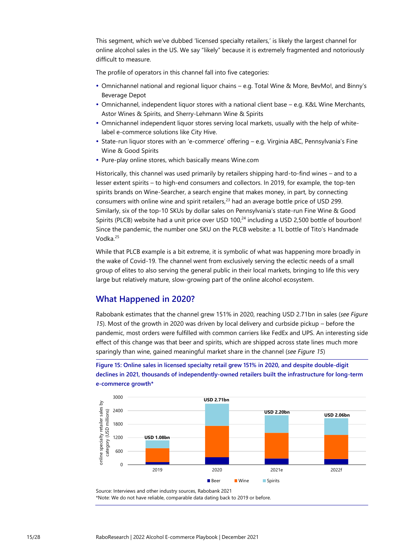This segment, which we've dubbed 'licensed specialty retailers,' is likely the largest channel for online alcohol sales in the US. We say "likely" because it is extremely fragmented and notoriously difficult to measure.

The profile of operators in this channel fall into five categories:

- Omnichannel national and regional liquor chains e.g. Total Wine & More, BevMo!, and Binny's Beverage Depot
- Omnichannel, independent liquor stores with a national client base e.g. K&L Wine Merchants, Astor Wines & Spirits, and Sherry-Lehmann Wine & Spirits
- Omnichannel independent liquor stores serving local markets, usually with the help of whitelabel e-commerce solutions like City Hive.
- State-run liquor stores with an 'e-commerce' offering e.g. Virginia ABC, Pennsylvania's Fine Wine & Good Spirits
- Pure-play online stores, which basically means Wine.com

Historically, this channel was used primarily by retailers shipping hard-to-find wines – and to a lesser extent spirits – to high-end consumers and collectors. In 2019, for example, the top-ten spirits brands on Wine-Searcher, a search engine that makes money, in part, by connecting consumers with online wine and spirit retailers,<sup>23</sup> had an average bottle price of USD 299. Similarly, six of the top-10 SKUs by dollar sales on Pennsylvania's state-run Fine Wine & Good Spirits (PLCB) website had a unit price over USD 100 $^{24}$  including a USD 2,500 bottle of bourbon! Since the pandemic, the number one SKU on the PLCB website: a 1L bottle of Tito's Handmade Vodka. 25

While that PLCB example is a bit extreme, it is symbolic of what was happening more broadly in the wake of Covid-19. The channel went from exclusively serving the eclectic needs of a small group of elites to also serving the general public in their local markets, bringing to life this very large but relatively mature, slow-growing part of the online alcohol ecosystem.

### **What Happened in 2020?**

Rabobank estimates that the channel grew 151% in 2020, reaching USD 2.71bn in sales (*see Figure 15*). Most of the growth in 2020 was driven by local delivery and curbside pickup – before the pandemic, most orders were fulfilled with common carriers like FedEx and UPS. An interesting side effect of this change was that beer and spirits, which are shipped across state lines much more sparingly than wine, gained meaningful market share in the channel (*see Figure 15*)

**Figure 15: Online sales in licensed specialty retail grew 151% in 2020, and despite double-digit declines in 2021, thousands of independently-owned retailers built the infrastructure for long-term e-commerce growth\***



Source: Interviews and other industry sources, Rabobank 2021

\*Note: We do not have reliable, comparable data dating back to 2019 or before.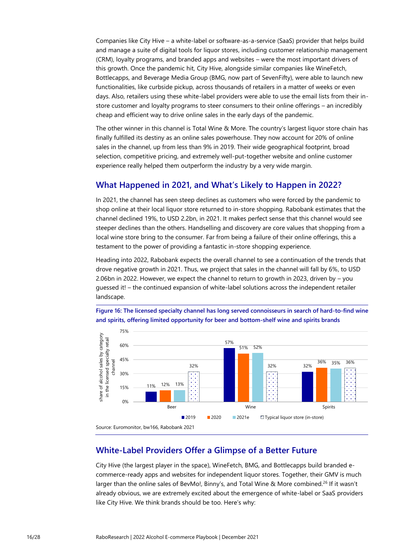Companies like City Hive – a white-label or software-as-a-service (SaaS) provider that helps build and manage a suite of digital tools for liquor stores, including customer relationship management (CRM), loyalty programs, and branded apps and websites – were the most important drivers of this growth. Once the pandemic hit, City Hive, alongside similar companies like WineFetch, Bottlecapps, and Beverage Media Group (BMG, now part of SevenFifty), were able to launch new functionalities, like curbside pickup, across thousands of retailers in a matter of weeks or even days. Also, retailers using these white-label providers were able to use the email lists from their instore customer and loyalty programs to steer consumers to their online offerings – an incredibly cheap and efficient way to drive online sales in the early days of the pandemic.

The other winner in this channel is Total Wine & More. The country's largest liquor store chain has finally fulfilled its destiny as an online sales powerhouse. They now account for 20% of online sales in the channel, up from less than 9% in 2019. Their wide geographical footprint, broad selection, competitive pricing, and extremely well-put-together website and online customer experience really helped them outperform the industry by a very wide margin.

### **What Happened in 2021, and What's Likely to Happen in 2022?**

In 2021, the channel has seen steep declines as customers who were forced by the pandemic to shop online at their local liquor store returned to in-store shopping. Rabobank estimates that the channel declined 19%, to USD 2.2bn, in 2021. It makes perfect sense that this channel would see steeper declines than the others. Handselling and discovery are core values that shopping from a local wine store bring to the consumer. Far from being a failure of their online offerings, this a testament to the power of providing a fantastic in-store shopping experience.

Heading into 2022, Rabobank expects the overall channel to see a continuation of the trends that drove negative growth in 2021. Thus, we project that sales in the channel will fall by 6%, to USD 2.06bn in 2022. However, we expect the channel to return to growth in 2023, driven by – you guessed it! – the continued expansion of white-label solutions across the independent retailer landscape.



**Figure 16: The licensed specialty channel has long served connoisseurs in search of hard-to-find wine and spirits, offering limited opportunity for beer and bottom-shelf wine and spirits brands**

### <span id="page-15-0"></span>**White-Label Providers Offer a Glimpse of a Better Future**

City Hive (the largest player in the space), WineFetch, BMG, and Bottlecapps build branded ecommerce-ready apps and websites for independent liquor stores. Together, their GMV is much larger than the online sales of BevMo!, Binny's, and Total Wine & More combined.<sup>26</sup> If it wasn't already obvious, we are extremely excited about the emergence of white-label or SaaS providers like City Hive. We think brands should be too. Here's why: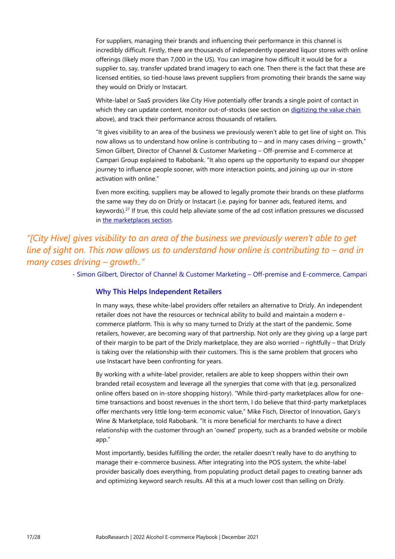For suppliers, managing their brands and influencing their performance in this channel is incredibly difficult. Firstly, there are thousands of independently operated liquor stores with online offerings (likely more than 7,000 in the US). You can imagine how difficult it would be for a supplier to, say, transfer updated brand imagery to each one. Then there is the fact that these are licensed entities, so tied-house laws prevent suppliers from promoting their brands the same way they would on Drizly or Instacart.

White-label or SaaS providers like City Hive potentially offer brands a single point of contact in which they can update content, monitor out-of-stocks (see section on digitizing the [value chain](#page-12-0) above), and track their performance across thousands of retailers.

"It gives visibility to an area of the business we previously weren't able to get line of sight on. This now allows us to understand how online is contributing to – and in many cases driving – growth," Simon Gilbert, Director of Channel & Customer Marketing – Off-premise and E-commerce at Campari Group explained to Rabobank. "It also opens up the opportunity to expand our shopper journey to influence people sooner, with more interaction points, and joining up our in-store activation with online."

Even more exciting, suppliers may be allowed to legally promote their brands on these platforms the same way they do on Drizly or Instacart (i.e. paying for banner ads, featured items, and keywords).<sup>27</sup> If true, this could help alleviate some of the ad cost inflation pressures we discussed in [the marketplaces section.](#page-8-0)

# *"[City Hive] gives visibility to an area of the business we previously weren't able to get line of sight on. This now allows us to understand how online is contributing to – and in many cases driving – growth.."*

- Simon Gilbert, Director of Channel & Customer Marketing – Off-premise and E-commerce, Campari

#### **Why This Helps Independent Retailers**

In many ways, these white-label providers offer retailers an alternative to Drizly. An independent retailer does not have the resources or technical ability to build and maintain a modern ecommerce platform. This is why so many turned to Drizly at the start of the pandemic. Some retailers, however, are becoming wary of that partnership. Not only are they giving up a large part of their margin to be part of the Drizly marketplace, they are also worried – rightfully – that Drizly is taking over the relationship with their customers. This is the same problem that grocers who use Instacart have been confronting for years.

By working with a white-label provider, retailers are able to keep shoppers within their own branded retail ecosystem and leverage all the synergies that come with that (e.g. personalized online offers based on in-store shopping history). "While third-party marketplaces allow for onetime transactions and boost revenues in the short term, I do believe that third-party marketplaces offer merchants very little long-term economic value," Mike Fisch, Director of Innovation, Gary's Wine & Marketplace, told Rabobank. "It is more beneficial for merchants to have a direct relationship with the customer through an 'owned' property, such as a branded website or mobile app."

Most importantly, besides fulfilling the order, the retailer doesn't really have to do anything to manage their e-commerce business. After integrating into the POS system, the white-label provider basically does everything, from populating product detail pages to creating banner ads and optimizing keyword search results. All this at a much lower cost than selling on Drizly.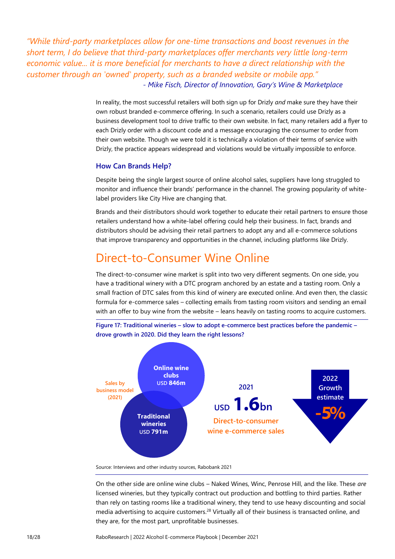*"While third-party marketplaces allow for one-time transactions and boost revenues in the short term, I do believe that third-party marketplaces offer merchants very little long-term economic value... it is more beneficial for merchants to have a direct relationship with the customer through an 'owned' property, such as a branded website or mobile app." - Mike Fisch, Director of Innovation, Gary's Wine & Marketplace*

> In reality, the most successful retailers will both sign up for Drizly *and* make sure they have their own robust branded e-commerce offering. In such a scenario, retailers could use Drizly as a business development tool to drive traffic to their own website. In fact, many retailers add a flyer to each Drizly order with a discount code and a message encouraging the consumer to order from their own website. Though we were told it is technically a violation of their terms of service with Drizly, the practice appears widespread and violations would be virtually impossible to enforce.

#### **How Can Brands Help?**

Despite being the single largest source of online alcohol sales, suppliers have long struggled to monitor and influence their brands' performance in the channel. The growing popularity of whitelabel providers like City Hive are changing that.

Brands and their distributors should work together to educate their retail partners to ensure those retailers understand how a white-label offering could help their business. In fact, brands and distributors should be advising their retail partners to adopt any and all e-commerce solutions that improve transparency and opportunities in the channel, including platforms like Drizly.

# <span id="page-17-0"></span>Direct-to-Consumer Wine Online

The direct-to-consumer wine market is split into two very different segments. On one side, you have a traditional winery with a DTC program anchored by an estate and a tasting room. Only a small fraction of DTC sales from this kind of winery are executed online. And even then, the classic formula for e-commerce sales – collecting emails from tasting room visitors and sending an email with an offer to buy wine from the website – leans heavily on tasting rooms to acquire customers.



**Figure 17: Traditional wineries – slow to adopt e-commerce best practices before the pandemic – drove growth in 2020. Did they learn the right lessons?**

Source: Interviews and other industry sources, Rabobank 2021

On the other side are online wine clubs – Naked Wines, Winc, Penrose Hill, and the like. These *are* licensed wineries, but they typically contract out production and bottling to third parties. Rather than rely on tasting rooms like a traditional winery, they tend to use heavy discounting and social media advertising to acquire customers.<sup>28</sup> Virtually all of their business is transacted online, and they are, for the most part, unprofitable businesses.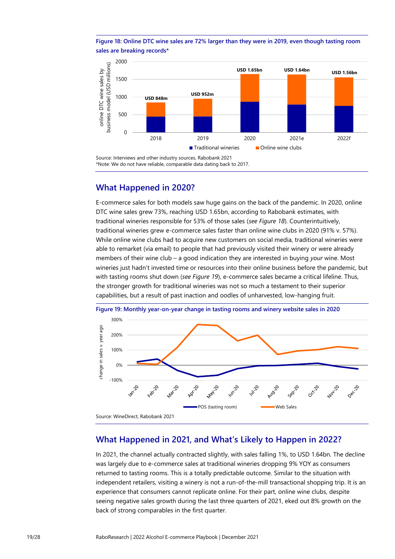**Figure 18: Online DTC wine sales are 72% larger than they were in 2019, even though tasting room sales are breaking records\***



### **What Happened in 2020?**

E-commerce sales for both models saw huge gains on the back of the pandemic. In 2020, online DTC wine sales grew 73%, reaching USD 1.65bn, according to Rabobank estimates, with traditional wineries responsible for 53% of those sales (*see Figure 18*). Counterintuitively, traditional wineries grew e-commerce sales faster than online wine clubs in 2020 (91% v. 57%). While online wine clubs had to acquire new customers on social media, traditional wineries were able to remarket (via email) to people that had previously visited their winery or were already members of their wine club – a good indication they are interested in buying *your* wine. Most wineries just hadn't invested time or resources into their online business before the pandemic, but with tasting rooms shut down (*see Figure 19*), e-commerce sales became a critical lifeline. Thus, the stronger growth for traditional wineries was not so much a testament to their superior capabilities, but a result of past inaction and oodles of unharvested, low-hanging fruit.



### **What Happened in 2021, and What's Likely to Happen in 2022?**

In 2021, the channel actually contracted slightly, with sales falling 1%, to USD 1.64bn. The decline was largely due to e-commerce sales at traditional wineries dropping 9% YOY as consumers returned to tasting rooms. This is a totally predictable outcome. Similar to the situation with independent retailers, visiting a winery is not a run-of-the-mill transactional shopping trip. It is an experience that consumers cannot replicate online. For their part, online wine clubs, despite seeing negative sales growth during the last three quarters of 2021, eked out 8% growth on the back of strong comparables in the first quarter.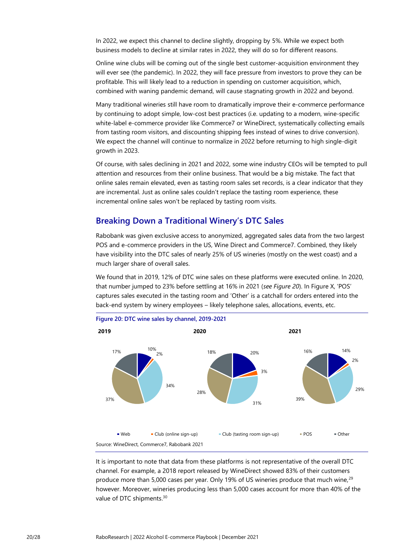In 2022, we expect this channel to decline slightly, dropping by 5%. While we expect both business models to decline at similar rates in 2022, they will do so for different reasons.

Online wine clubs will be coming out of the single best customer-acquisition environment they will ever see (the pandemic). In 2022, they will face pressure from investors to prove they can be profitable. This will likely lead to a reduction in spending on customer acquisition, which, combined with waning pandemic demand, will cause stagnating growth in 2022 and beyond.

Many traditional wineries still have room to dramatically improve their e-commerce performance by continuing to adopt simple, low-cost best practices (i.e. updating to a modern, wine-specific white-label e-commerce provider like Commerce7 or WineDirect, systematically collecting emails from tasting room visitors, and discounting shipping fees instead of wines to drive conversion). We expect the channel will continue to normalize in 2022 before returning to high single-digit growth in 2023.

Of course, with sales declining in 2021 and 2022, some wine industry CEOs will be tempted to pull attention and resources from their online business. That would be a big mistake. The fact that online sales remain elevated, even as tasting room sales set records, is a clear indicator that they are incremental. Just as online sales couldn't replace the tasting room experience, these incremental online sales won't be replaced by tasting room visits.

### **Breaking Down a Traditional Winery's DTC Sales**

Rabobank was given exclusive access to anonymized, aggregated sales data from the two largest POS and e-commerce providers in the US, Wine Direct and Commerce7. Combined, they likely have visibility into the DTC sales of nearly 25% of US wineries (mostly on the west coast) and a much larger share of overall sales.

We found that in 2019, 12% of DTC wine sales on these platforms were executed online. In 2020, that number jumped to 23% before settling at 16% in 2021 (*see Figure 20*). In Figure X, 'POS' captures sales executed in the tasting room and 'Other' is a catchall for orders entered into the back-end system by winery employees – likely telephone sales, allocations, events, etc.



It is important to note that data from these platforms is not representative of the overall DTC channel. For example, a 2018 report released by WineDirect showed 83% of their customers produce more than 5,000 cases per year. Only 19% of US wineries produce that much wine,<sup>29</sup> however. Moreover, wineries producing less than 5,000 cases account for more than 40% of the value of DTC shipments.<sup>30</sup>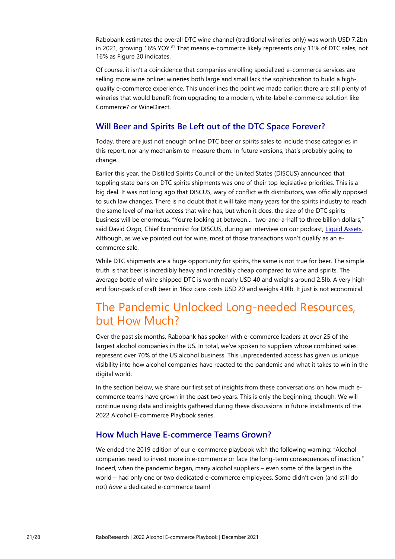Rabobank estimates the overall DTC wine channel (traditional wineries only) was worth USD 7.2bn in 2021, growing 16% YOY.<sup>31</sup> That means e-commerce likely represents only 11% of DTC sales, not 16% as Figure 20 indicates.

Of course, it isn't a coincidence that companies enrolling specialized e-commerce services are selling more wine online; wineries both large and small lack the sophistication to build a highquality e-commerce experience. This underlines the point we made earlier: there are still plenty of wineries that would benefit from upgrading to a modern, white-label e-commerce solution like Commerce7 or WineDirect.

### **Will Beer and Spirits Be Left out of the DTC Space Forever?**

Today, there are just not enough online DTC beer or spirits sales to include those categories in this report, nor any mechanism to measure them. In future versions, that's probably going to change.

Earlier this year, the Distilled Spirits Council of the United States (DISCUS) announced that toppling state bans on DTC spirits shipments was one of their top legislative priorities. This is a big deal. It was not long ago that DISCUS, wary of conflict with distributors, was officially opposed to such law changes. There is no doubt that it will take many years for the spirits industry to reach the same level of market access that wine has, but when it does, the size of the DTC spirits business will be enormous. "You're looking at between… two-and-a-half to three billion dollars," said David Ozgo, Chief Economist for DISCUS, during an interview on our podcast, [Liquid Assets.](https://podcasts.apple.com/us/podcast/discus-and-the-drive-for-new-spirits-regulations/id1368594226?i=1000531809507) Although, as we've pointed out for wine, most of those transactions won't qualify as an ecommerce sale.

While DTC shipments are a huge opportunity for spirits, the same is not true for beer. The simple truth is that beer is incredibly heavy and incredibly cheap compared to wine and spirits. The average bottle of wine shipped DTC is worth nearly USD 40 and weighs around 2.5lb. A very highend four-pack of craft beer in 16oz cans costs USD 20 and weighs 4.0lb. It just is not economical.

# <span id="page-20-0"></span>The Pandemic Unlocked Long-needed Resources, but How Much?

Over the past six months, Rabobank has spoken with e-commerce leaders at over 25 of the largest alcohol companies in the US. In total, we've spoken to suppliers whose combined sales represent over 70% of the US alcohol business. This unprecedented access has given us unique visibility into how alcohol companies have reacted to the pandemic and what it takes to win in the digital world.

In the section below, we share our first set of insights from these conversations on how much ecommerce teams have grown in the past two years. This is only the beginning, though. We will continue using data and insights gathered during these discussions in future installments of the 2022 Alcohol E-commerce Playbook series.

### **How Much Have E-commerce Teams Grown?**

We ended the 2019 edition of our e-commerce playbook with the following warning: "Alcohol companies need to invest more in e-commerce or face the long-term consequences of inaction." Indeed, when the pandemic began, many alcohol suppliers – even some of the largest in the world – had only one or two dedicated e-commerce employees. Some didn't even (and still do not) *have* a dedicated e-commerce team!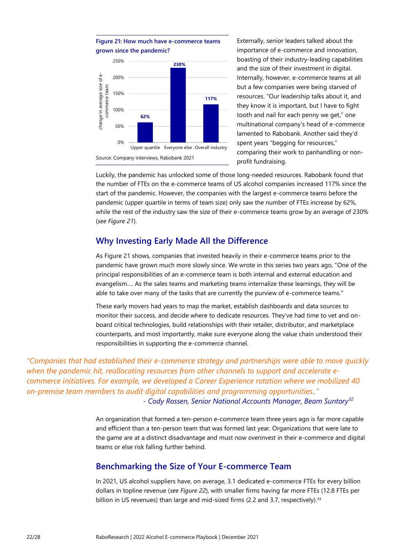

Externally, senior leaders talked about the importance of e-commerce and innovation, boasting of their industry-leading capabilities and the size of their investment in digital. Internally, however, e-commerce teams at all but a few companies were being starved of resources. "Our leadership talks about it, and they know it is important, but I have to fight tooth and nail for each penny we get," one multinational company's head of e-commerce lamented to Rabobank. Another said they'd spent years "begging for resources," comparing their work to panhandling or nonprofit fundraising.

Luckily, the pandemic has unlocked some of those long-needed resources. Rabobank found that the number of FTEs on the e-commerce teams of US alcohol companies increased 117% since the start of the pandemic. However, the companies with the largest e-commerce teams before the pandemic (upper quartile in terms of team size) only saw the number of FTEs increase by 62%, while the rest of the industry saw the size of their e-commerce teams grow by an average of 230% (*see Figure 21*).

## **Why Investing Early Made All the Difference**

As Figure 21 shows, companies that invested heavily in their e-commerce teams prior to the pandemic have grown much more slowly since. We wrote in this series two years ago, "One of the principal responsibilities of an e-commerce team is both internal and external education and evangelism…. As the sales teams and marketing teams internalize these learnings, they will be able to take over many of the tasks that are currently the purview of e-commerce teams."

These early movers had years to map the market, establish dashboards and data sources to monitor their success, and decide where to dedicate resources. They've had time to vet and onboard critical technologies, build relationships with their retailer, distributor, and marketplace counterparts, and most importantly, make sure everyone along the value chain understood their responsibilities in supporting the e-commerce channel.

*"Companies that had established their e-commerce strategy and partnerships were able to move quickly when the pandemic hit, reallocating resources from other channels to support and accelerate ecommerce initiatives. For example, we developed a Career Experience rotation where we mobilized 40 on-premise team members to audit digital capabilities and programming opportunities.." - Cody Rossen, Senior National Accounts Manager, Beam Suntory<sup>32</sup>*

> An organization that formed a ten-person e-commerce team three years ago is far more capable and efficient than a ten-person team that was formed last year. Organizations that were late to the game are at a distinct disadvantage and must now *overinvest* in their e-commerce and digital teams or else risk falling further behind.

## <span id="page-21-0"></span>**Benchmarking the Size of Your E-commerce Team**

In 2021, US alcohol suppliers have, on average, 3.1 dedicated e-commerce FTEs for every billion dollars in topline revenue (*see Figure 22*), with smaller firms having far more FTEs (12.8 FTEs per billion in US revenues) than large and mid-sized firms (2.2 and 3.7, respectively).<sup>33</sup>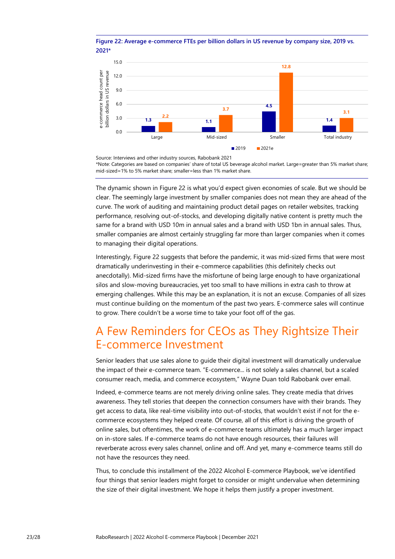#### **Figure 22: Average e-commerce FTEs per billion dollars in US revenue by company size, 2019 vs. 2021\***



Source: Interviews and other industry sources, Rabobank 2021 \*Note: Categories are based on companies' share of total US beverage alcohol market. Large=greater than 5% market share; mid-sized=1% to 5% market share; smaller=less than 1% market share.

The dynamic shown in Figure 22 is what you'd expect given economies of scale. But we should be clear. The seemingly large investment by smaller companies does not mean they are ahead of the curve. The work of auditing and maintaining product detail pages on retailer websites, tracking performance, resolving out-of-stocks, and developing digitally native content is pretty much the same for a brand with USD 10m in annual sales and a brand with USD 1bn in annual sales. Thus, smaller companies are almost certainly struggling far more than larger companies when it comes to managing their digital operations.

Interestingly, Figure 22 suggests that before the pandemic, it was mid-sized firms that were most dramatically underinvesting in their e-commerce capabilities (this definitely checks out anecdotally). Mid-sized firms have the misfortune of being large enough to have organizational silos and slow-moving bureaucracies, yet too small to have millions in extra cash to throw at emerging challenges. While this may be an explanation, it is not an excuse. Companies of all sizes must continue building on the momentum of the past two years. E-commerce sales will continue to grow. There couldn't be a worse time to take your foot off of the gas.

# <span id="page-22-0"></span>A Few Reminders for CEOs as They Rightsize Their E-commerce Investment

Senior leaders that use sales alone to guide their digital investment will dramatically undervalue the impact of their e-commerce team. "E-commerce... is not solely a sales channel, but a scaled consumer reach, media, and commerce ecosystem," Wayne Duan told Rabobank over email.

Indeed, e-commerce teams are not merely driving online sales. They create media that drives awareness. They tell stories that deepen the connection consumers have with their brands. They get access to data, like real-time visibility into out-of-stocks, that wouldn't exist if not for the ecommerce ecosystems they helped create. Of course, all of this effort is driving the growth of online sales, but oftentimes, the work of e-commerce teams ultimately has a much larger impact on in-store sales. If e-commerce teams do not have enough resources, their failures will reverberate across every sales channel, online and off. And yet, many e-commerce teams still do not have the resources they need.

Thus, to conclude this installment of the 2022 Alcohol E-commerce Playbook, we've identified four things that senior leaders might forget to consider or might undervalue when determining the size of their digital investment. We hope it helps them justify a proper investment.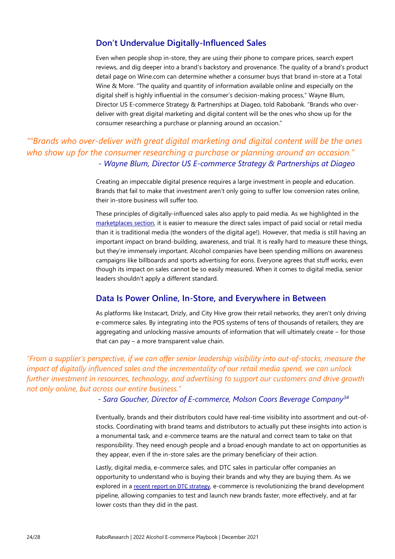### **Don't Undervalue Digitally-Influenced Sales**

Even when people shop in-store, they are using their phone to compare prices, search expert reviews, and dig deeper into a brand's backstory and provenance. The quality of a brand's product detail page on Wine.com can determine whether a consumer buys that brand in-store at a Total Wine & More. "The quality and quantity of information available online and especially on the digital shelf is highly influential in the consumer's decision-making process," Wayne Blum, Director US E-commerce Strategy & Partnerships at Diageo, told Rabobank. "Brands who overdeliver with great digital marketing and digital content will be the ones who show up for the consumer researching a purchase or planning around an occasion."

## *""Brands who over-deliver with great digital marketing and digital content will be the ones who show up for the consumer researching a purchase or planning around an occasion." - Wayne Blum, Director US E-commerce Strategy & Partnerships at Diageo*

Creating an impeccable digital presence requires a large investment in people and education. Brands that fail to make that investment aren't only going to suffer low conversion rates online, their in-store business will suffer too.

These principles of digitally-influenced sales also apply to paid media. As we highlighted in the [marketplaces section,](#page-10-0) it is easier to measure the direct sales impact of paid social or retail media than it is traditional media (the wonders of the digital age!). However, that media is still having an important impact on brand-building, awareness, and trial. It is really hard to measure these things, but they're immensely important. Alcohol companies have been spending millions on awareness campaigns like billboards and sports advertising for eons. Everyone agrees that stuff works, even though its impact on sales cannot be so easily measured. When it comes to digital media, senior leaders shouldn't apply a different standard.

### **Data Is Power Online, In-Store, and Everywhere in Between**

As platforms like Instacart, Drizly, and City Hive grow their retail networks, they aren't only driving e-commerce sales. By integrating into the POS systems of tens of thousands of retailers, they are aggregating and unlocking massive amounts of information that will ultimately create – for those that can pay – a more transparent value chain.

*"From a supplier's perspective, if we can offer senior leadership visibility into out-of-stocks, measure the impact of digitally influenced sales and the incrementality of our retail media spend, we can unlock further investment in resources, technology, and advertising to support our customers and drive growth not only online, but across our entire business."*

 *- Sara Goucher, Director of E-commerce, Molson Coors Beverage Company<sup>34</sup>*

Eventually, brands and their distributors could have real-time visibility into assortment and out-ofstocks. Coordinating with brand teams and distributors to actually put these insights into action is a monumental task, and e-commerce teams are the natural and correct team to take on that responsibility. They need enough people and a broad enough mandate to act on opportunities as they appear, even if the in-store sales are the primary beneficiary of their action.

Lastly, digital media, e-commerce sales, and DTC sales in particular offer companies an opportunity to understand who is buying their brands and why they are buying them. As we explored in a [recent report on DTC strategy](https://research.rabobank.com/far/en/sectors/beverages/are-you-doing-direct-to-consumer-all-wrong.html), e-commerce is revolutionizing the brand development pipeline, allowing companies to test and launch new brands faster, more effectively, and at far lower costs than they did in the past.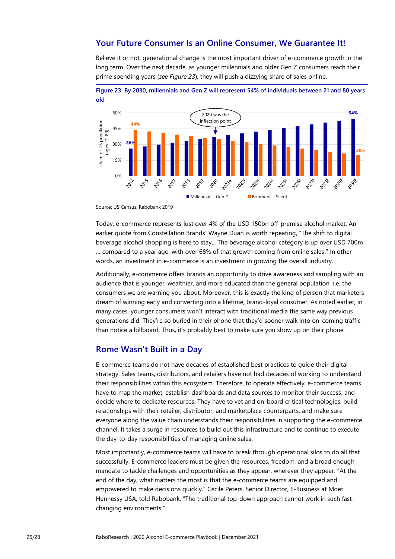### **Your Future Consumer Is an Online Consumer, We Guarantee It!**

Believe it or not, generational change is the most important driver of e-commerce growth in the long term. Over the next decade, as younger millennials and older Gen Z consumers reach their prime spending years (*see Figure 23*), they will push a dizzying share of sales online.





Today, e-commerce represents just over 4% of the USD 150bn off-premise alcohol market. An earlier quote from Constellation Brands' Wayne Duan is worth repeating, "The shift to digital beverage alcohol shopping is here to stay... The beverage alcohol category is up over USD 700m … compared to a year ago, with over 68% of that growth coming from online sales." In other words, an investment in e-commerce is an investment in growing the overall industry.

Additionally, e-commerce offers brands an opportunity to drive awareness and sampling with an audience that is younger, wealthier, and more educated than the general population, i.e. the consumers we are warning you about. Moreover, this is exactly the kind of person that marketers dream of winning early and converting into a lifetime, brand-loyal consumer. As noted earlier, in many cases, younger consumers won't interact with traditional media the same way previous generations did, They're so buried in their phone that they'd sooner walk into on-coming traffic than notice a billboard. Thus, it's probably best to make sure you show up on their phone.

### **Rome Wasn't Built in a Day**

E-commerce teams do not have decades of established best practices to guide their digital strategy. Sales teams, distributors, and retailers have not had decades of working to understand their responsibilities within this ecosystem. Therefore, to operate effectively, e-commerce teams have to map the market, establish dashboards and data sources to monitor their success, and decide where to dedicate resources. They have to vet and on-board critical technologies, build relationships with their retailer, distributor, and marketplace counterparts, and make sure everyone along the value chain understands their responsibilities in supporting the e-commerce channel. It takes a surge in resources to build out this infrastructure and to continue to execute the day-to-day responsibilities of managing online sales.

Most importantly, e-commerce teams will have to break through operational silos to do all that successfully. E-commerce leaders must be given the resources, freedom, and a broad enough mandate to tackle challenges and opportunities as they appear, wherever they appear. "At the end of the day, what matters the most is that the e-commerce teams are equipped and empowered to make decisions quickly." Cécile Peters, Senior Director, E-Business at Moet Hennessy USA, told Rabobank. "The traditional top-down approach cannot work in such fastchanging environments."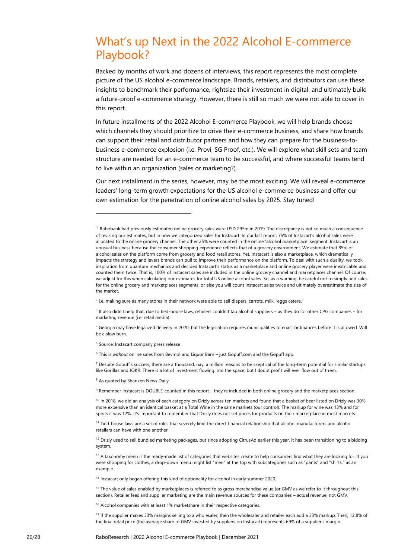# <span id="page-25-0"></span>What's up Next in the 2022 Alcohol E-commerce Playbook?

Backed by months of work and dozens of interviews, this report represents the most complete picture of the US alcohol e-commerce landscape. Brands, retailers, and distributors can use these insights to benchmark their performance, rightsize their investment in digital, and ultimately build a future-proof e-commerce strategy. However, there is still so much we were not able to cover in this report.

In future installments of the 2022 Alcohol E-commerce Playbook, we will help brands choose which channels they should prioritize to drive their e-commerce business, and share how brands can support their retail and distributor partners and how they can prepare for the business-tobusiness e-commerce explosion (i.e. Provi, SG Proof, etc.). We will explore what skill sets and team structure are needed for an e-commerce team to be successful, and where successful teams tend to live within an organization (sales or marketing?).

Our next installment in the series, however, may be the most exciting. We will reveal e-commerce leaders' long-term growth expectations for the US alcohol e-commerce business and offer our own estimation for the penetration of online alcohol sales by 2025. Stay tuned!

9 Remember Instacart is DOUBLE-counted in this report – they're included in both online grocery and the marketplaces section.

<sup>10</sup> In 2018, we did an analysis of each category on Drizly across ten markets and found that a basket of beer listed on Drizly was 30% more expensive than an identical basket at a Total Wine in the same markets (our control). The markup for wine was 13% and for spirits it was 12%. It's important to remember that Drizly does not set prices for products on their marketplace in most markets.

<sup>11</sup> Tied-house laws are a set of rules that severely limit the direct financial relationship that alcohol manufacturers and alcohol retailers can have with one another.

 $12$  Drizly used to sell bundled marketing packages, but since adopting CitrusAd earlier this year, it has been transitioning to a bidding system.

<sup>13</sup> A taxonomy menu is the ready-made list of categories that websites create to help consumers find what they are looking for. If you were shopping for clothes, a drop-down menu might list "men" at the top with subcategories such as "pants" and "shirts," as an example.

<sup>14</sup> Instacart only began offering this kind of optionality for alcohol in early summer 2020.

<sup>15</sup> The value of sales enabled by marketplaces is referred to as gross merchandise value (or GMV as we refer to it throughout this section). Retailer fees and supplier marketing are the main revenue sources for these companies – actual revenue, not GMV.

<sup>16</sup> Alcohol companies with at least 1% marketshare in their respective categories.

17 If the supplier makes 33% margins selling to a wholesaler, then the wholesaler and retailer each add a 33% markup. Then, 12.8% of the final retail price (the average share of GMV invested by suppliers on Instacart) represents 69% of a supplier's margin.

 $1$  Rabobank had previously estimated online grocery sales were USD 295m in 2019. The discrepancy is not so much a consequence of revising our estimates, but in how we categorized sales for Instacart. In our last report, 75% of Instacart's alcohol sales were allocated to the online grocery channel. The other 25% were counted in the online 'alcohol marketplace' segment. Instacart is an unusual business because the consumer shopping experience reflects that of a grocery environment. We estimate that 85% of alcohol sales on the platform come from grocery and food retail stores. Yet, Instacart is also a marketplace, which dramatically impacts the strategy and levers brands can pull to improve their performance on the platform. To deal with such a duality, we took inspiration from quantum mechanics and decided Instacart's status as a marketplace and online grocery player were inextricable and counted them twice. That is, 100% of Instacart sales are included in the online grocery channel and marketplaces channel. Of course, we adjust for this when calculating our estimates for total US online alcohol sales. So, as a warning, be careful not to simply add sales for the online grocery and marketplaces segments, or else you will count Instacart sales twice and ultimately overestimate the size of the market.

<sup>2</sup> i.e. making sure as many stores in their network were able to sell diapers, carrots, milk, 'eggs cetera.*'*

<sup>&</sup>lt;sup>3</sup> It also didn't help that, due to tied-house laws, retailers couldn't tap alcohol suppliers – as they do for other CPG companies – for marketing revenue (i.e. retail media).

<sup>4</sup> Georgia may have legalized delivery in 2020, but the legislation requires municipalities to enact ordinances before it is allowed. Will be a slow burn.

<sup>5</sup> Source: Instacart company press release

<sup>6</sup> This is *without* online sales from Bevmo! and Liquor Barn – just Gopuff.com and the Gopuff app.

 $^7$  Despite Gopuff's success, there are a thousand, nay, a million reasons to be skeptical of the long-term potential for similar startups like Gorillas and JOKR. There is a lot of investment flowing into the space, but I doubt profit will ever flow out of them.

<sup>8</sup> As quoted by Shanken News Daily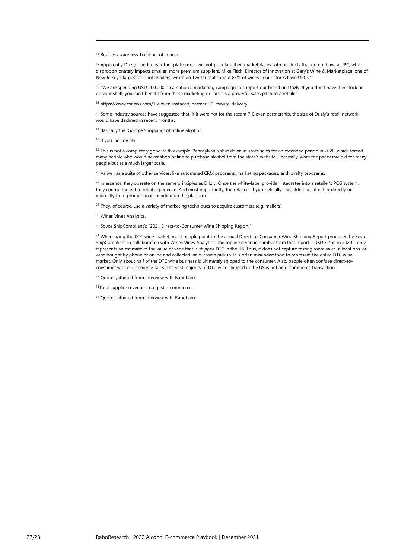<sup>18</sup> Besides awareness-building, of course.

 $19$  Apparently Drizly – and most other platforms – will not populate their marketplaces with products that do not have a UPC, which disproportionately impacts smaller, more premium suppliers. Mike Fisch, Director of Innovation at Gary's Wine & Marketplace, one of New Jersey's largest alcohol retailers, wrote on Twitter that "about 85% of wines in our stores have UPCs."

<sup>20</sup> "We are spending USD 100,000 on a national marketing campaign to support our brand on Drizly. If you don't have it in stock or on your shelf, you can't benefit from those marketing dollars," is a powerful sales pitch to a retailer.

<sup>21</sup> https://www.csnews.com/7-eleven-instacart-partner-30-minute-delivery

<sup>22</sup> Some industry sources have suggested that, if it were not for the recent 7-Eleven partnership, the size of Drizly's retail network would have declined in recent months.

<sup>23</sup> Basically the 'Google Shopping' of online alcohol.

<sup>24</sup> If you include tax.

<sup>25</sup> This is not a completely good-faith example. Pennsylvania shut down in-store sales for an extended period in 2020, which forced many people who would never shop online to purchase alcohol from the state's website – basically, what the pandemic did for many people but at a much larger scale.

<sup>26</sup> As well as a suite of other services, like automated CRM programs, marketing packages, and loyalty programs.

<sup>27</sup> In essence, they operate on the same principles as Drizly. Once the white-label provider integrates into a retailer's POS system, they control the entire retail experience. And most importantly, the retailer – hypothetically – wouldn't profit either directly or indirectly from promotional spending on the platform.

<sup>28</sup> They, of course, use a variety of marketing techniques to acquire customers (e.g. mailers).

<sup>29</sup> Wines Vines Analytics.

<sup>30</sup> Sovos ShipCompliant's "2021 Direct-to-Consumer Wine Shipping Report."

<sup>31</sup> When sizing the DTC wine market, most people point to the annual Direct-to-Consumer Wine Shipping Report produced by Sovos ShipCompliant in collaboration with Wines Vines Analytics. The topline revenue number from that report – USD 3.7bn in 2020 – only represents an estimate of the value of wine that is *shipped* DTC in the US. Thus, it does not capture tasting room sales, allocations, or wine bought by phone or online and collected via curbside pickup. It is often misunderstood to represent the entire DTC wine market. Only about half of the DTC wine business is ultimately shipped to the consumer. Also, people often confuse direct-toconsumer with e-commerce sales. The vast majority of DTC wine shipped in the US is not an e-commerce transaction.

<sup>32</sup> Quote gathered from interview with Rabobank.

33Total supplier revenues, not just e-commerce.

<sup>34</sup> Quote gathered from interview with Rabobank.